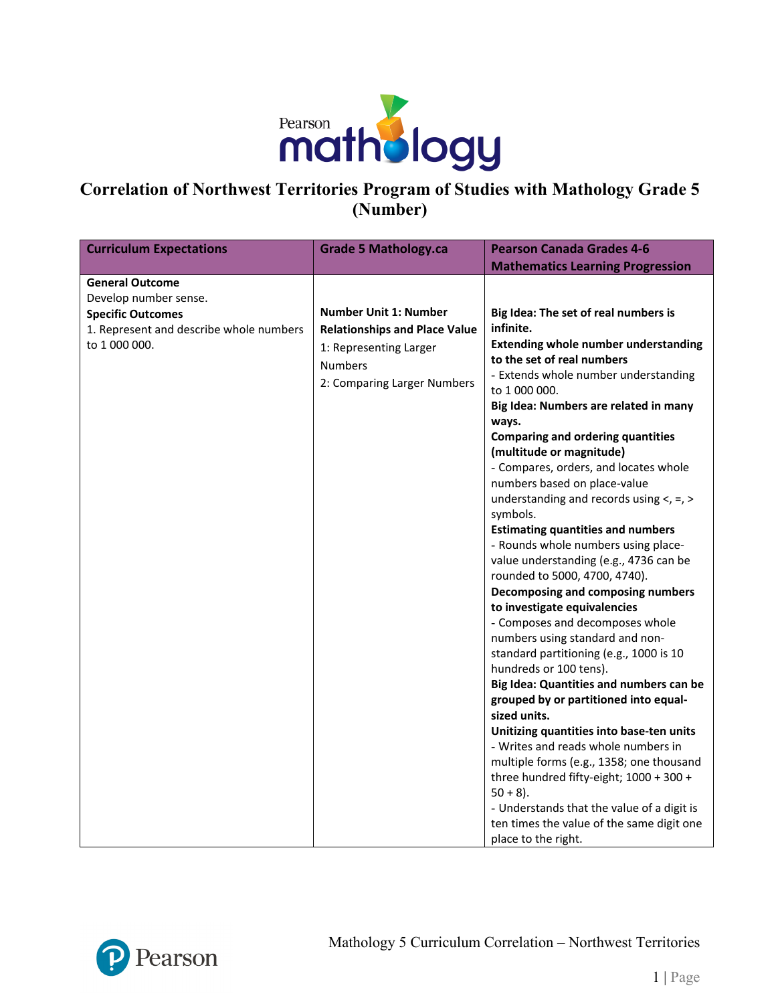

## **Correlation of Northwest Territories Program of Studies with Mathology Grade 5 (Number)**

| <b>Curriculum Expectations</b>          | <b>Grade 5 Mathology.ca</b>          | <b>Pearson Canada Grades 4-6</b>                                  |
|-----------------------------------------|--------------------------------------|-------------------------------------------------------------------|
|                                         |                                      | <b>Mathematics Learning Progression</b>                           |
| <b>General Outcome</b>                  |                                      |                                                                   |
| Develop number sense.                   |                                      |                                                                   |
| <b>Specific Outcomes</b>                | <b>Number Unit 1: Number</b>         | Big Idea: The set of real numbers is                              |
| 1. Represent and describe whole numbers | <b>Relationships and Place Value</b> | infinite.                                                         |
| to 1 000 000.                           | 1: Representing Larger               | <b>Extending whole number understanding</b>                       |
|                                         | <b>Numbers</b>                       | to the set of real numbers                                        |
|                                         | 2: Comparing Larger Numbers          | - Extends whole number understanding                              |
|                                         |                                      | to 1 000 000.                                                     |
|                                         |                                      | Big Idea: Numbers are related in many                             |
|                                         |                                      | ways.                                                             |
|                                         |                                      | <b>Comparing and ordering quantities</b>                          |
|                                         |                                      | (multitude or magnitude)                                          |
|                                         |                                      | - Compares, orders, and locates whole                             |
|                                         |                                      | numbers based on place-value                                      |
|                                         |                                      | understanding and records using $\lt$ , =, >                      |
|                                         |                                      | symbols.                                                          |
|                                         |                                      | <b>Estimating quantities and numbers</b>                          |
|                                         |                                      | - Rounds whole numbers using place-                               |
|                                         |                                      | value understanding (e.g., 4736 can be                            |
|                                         |                                      | rounded to 5000, 4700, 4740).                                     |
|                                         |                                      | Decomposing and composing numbers                                 |
|                                         |                                      | to investigate equivalencies                                      |
|                                         |                                      | - Composes and decomposes whole                                   |
|                                         |                                      | numbers using standard and non-                                   |
|                                         |                                      | standard partitioning (e.g., 1000 is 10<br>hundreds or 100 tens). |
|                                         |                                      | Big Idea: Quantities and numbers can be                           |
|                                         |                                      | grouped by or partitioned into equal-                             |
|                                         |                                      | sized units.                                                      |
|                                         |                                      | Unitizing quantities into base-ten units                          |
|                                         |                                      | - Writes and reads whole numbers in                               |
|                                         |                                      | multiple forms (e.g., 1358; one thousand                          |
|                                         |                                      | three hundred fifty-eight; 1000 + 300 +                           |
|                                         |                                      | $50 + 8$ ).                                                       |
|                                         |                                      | - Understands that the value of a digit is                        |
|                                         |                                      | ten times the value of the same digit one                         |
|                                         |                                      | place to the right.                                               |

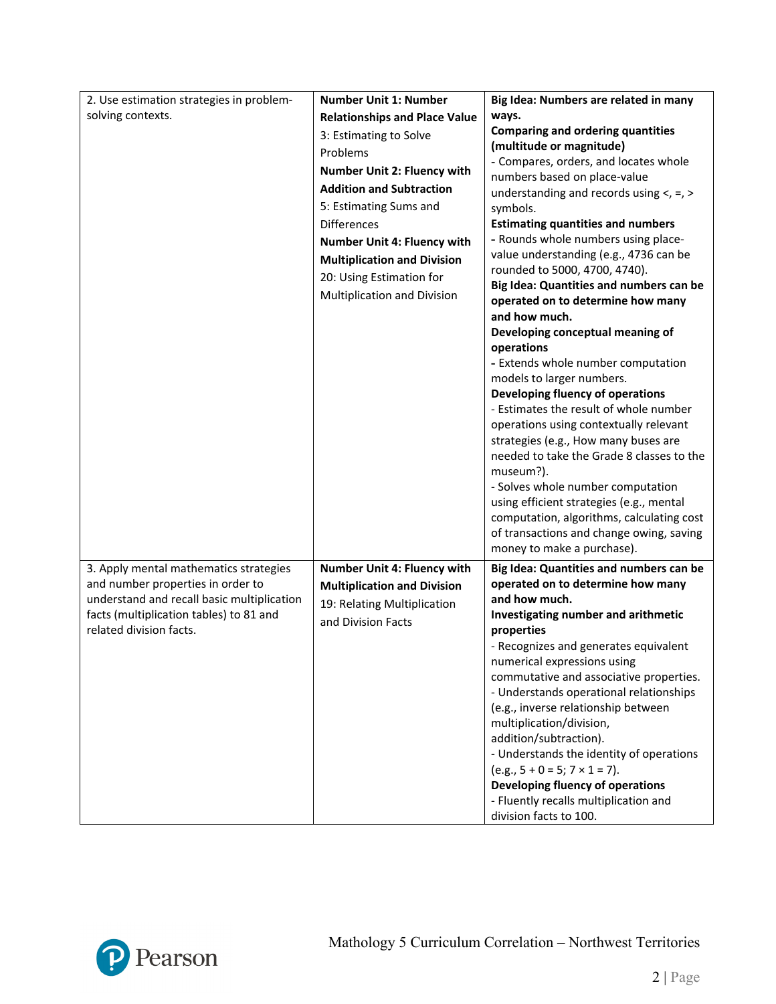| 2. Use estimation strategies in problem-   | <b>Number Unit 1: Number</b>         | Big Idea: Numbers are related in many                                  |
|--------------------------------------------|--------------------------------------|------------------------------------------------------------------------|
| solving contexts.                          | <b>Relationships and Place Value</b> | ways.                                                                  |
|                                            | 3: Estimating to Solve               | <b>Comparing and ordering quantities</b>                               |
|                                            | Problems                             | (multitude or magnitude)                                               |
|                                            |                                      | - Compares, orders, and locates whole                                  |
|                                            | Number Unit 2: Fluency with          | numbers based on place-value                                           |
|                                            | <b>Addition and Subtraction</b>      | understanding and records using $\lt$ , =, >                           |
|                                            | 5: Estimating Sums and               | symbols.                                                               |
|                                            | <b>Differences</b>                   | <b>Estimating quantities and numbers</b>                               |
|                                            | Number Unit 4: Fluency with          | - Rounds whole numbers using place-                                    |
|                                            | <b>Multiplication and Division</b>   | value understanding (e.g., 4736 can be                                 |
|                                            | 20: Using Estimation for             | rounded to 5000, 4700, 4740).                                          |
|                                            | Multiplication and Division          | Big Idea: Quantities and numbers can be                                |
|                                            |                                      | operated on to determine how many<br>and how much.                     |
|                                            |                                      | Developing conceptual meaning of                                       |
|                                            |                                      | operations                                                             |
|                                            |                                      | - Extends whole number computation                                     |
|                                            |                                      | models to larger numbers.                                              |
|                                            |                                      | Developing fluency of operations                                       |
|                                            |                                      | - Estimates the result of whole number                                 |
|                                            |                                      | operations using contextually relevant                                 |
|                                            |                                      | strategies (e.g., How many buses are                                   |
|                                            |                                      | needed to take the Grade 8 classes to the                              |
|                                            |                                      | museum?).                                                              |
|                                            |                                      | - Solves whole number computation                                      |
|                                            |                                      | using efficient strategies (e.g., mental                               |
|                                            |                                      | computation, algorithms, calculating cost                              |
|                                            |                                      | of transactions and change owing, saving                               |
|                                            |                                      | money to make a purchase).                                             |
| 3. Apply mental mathematics strategies     | Number Unit 4: Fluency with          | Big Idea: Quantities and numbers can be                                |
| and number properties in order to          | <b>Multiplication and Division</b>   | operated on to determine how many                                      |
| understand and recall basic multiplication | 19: Relating Multiplication          | and how much.                                                          |
| facts (multiplication tables) to 81 and    | and Division Facts                   | Investigating number and arithmetic                                    |
| related division facts.                    |                                      | properties                                                             |
|                                            |                                      | - Recognizes and generates equivalent                                  |
|                                            |                                      | numerical expressions using<br>commutative and associative properties. |
|                                            |                                      | - Understands operational relationships                                |
|                                            |                                      | (e.g., inverse relationship between                                    |
|                                            |                                      | multiplication/division,                                               |
|                                            |                                      | addition/subtraction).                                                 |
|                                            |                                      | - Understands the identity of operations                               |
|                                            |                                      | $(e.g., 5 + 0 = 5; 7 \times 1 = 7).$                                   |
|                                            |                                      | Developing fluency of operations                                       |
|                                            |                                      | - Fluently recalls multiplication and                                  |
|                                            |                                      | division facts to 100.                                                 |

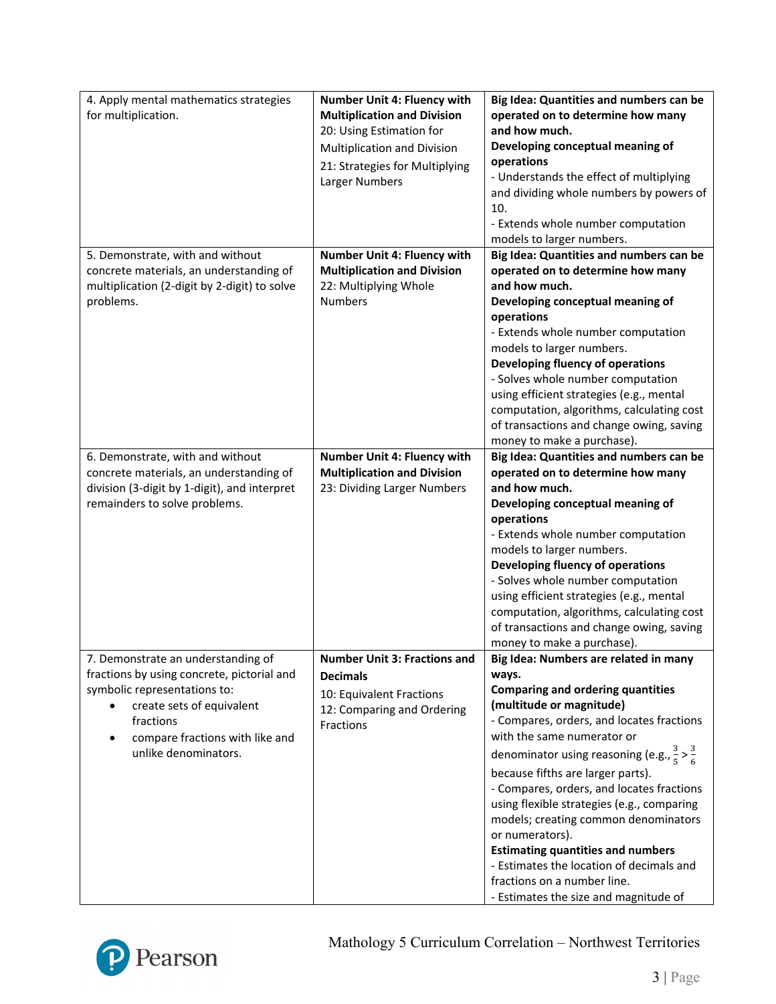| 4. Apply mental mathematics strategies<br>for multiplication.                                                                                                                                                         | Number Unit 4: Fluency with<br><b>Multiplication and Division</b><br>20: Using Estimation for<br>Multiplication and Division<br>21: Strategies for Multiplying<br>Larger Numbers | Big Idea: Quantities and numbers can be<br>operated on to determine how many<br>and how much.<br>Developing conceptual meaning of<br>operations<br>- Understands the effect of multiplying<br>and dividing whole numbers by powers of<br>10.<br>- Extends whole number computation<br>models to larger numbers.                                                                                                                                                                                                                                                                                                                |
|-----------------------------------------------------------------------------------------------------------------------------------------------------------------------------------------------------------------------|----------------------------------------------------------------------------------------------------------------------------------------------------------------------------------|--------------------------------------------------------------------------------------------------------------------------------------------------------------------------------------------------------------------------------------------------------------------------------------------------------------------------------------------------------------------------------------------------------------------------------------------------------------------------------------------------------------------------------------------------------------------------------------------------------------------------------|
| 5. Demonstrate, with and without<br>concrete materials, an understanding of<br>multiplication (2-digit by 2-digit) to solve<br>problems.                                                                              | Number Unit 4: Fluency with<br><b>Multiplication and Division</b><br>22: Multiplying Whole<br><b>Numbers</b>                                                                     | Big Idea: Quantities and numbers can be<br>operated on to determine how many<br>and how much.<br>Developing conceptual meaning of<br>operations<br>- Extends whole number computation<br>models to larger numbers.<br>Developing fluency of operations<br>- Solves whole number computation<br>using efficient strategies (e.g., mental<br>computation, algorithms, calculating cost<br>of transactions and change owing, saving<br>money to make a purchase).                                                                                                                                                                 |
| 6. Demonstrate, with and without<br>concrete materials, an understanding of<br>division (3-digit by 1-digit), and interpret<br>remainders to solve problems.                                                          | Number Unit 4: Fluency with<br><b>Multiplication and Division</b><br>23: Dividing Larger Numbers                                                                                 | Big Idea: Quantities and numbers can be<br>operated on to determine how many<br>and how much.<br>Developing conceptual meaning of<br>operations<br>- Extends whole number computation<br>models to larger numbers.<br>Developing fluency of operations<br>- Solves whole number computation<br>using efficient strategies (e.g., mental<br>computation, algorithms, calculating cost<br>of transactions and change owing, saving<br>money to make a purchase).                                                                                                                                                                 |
| 7. Demonstrate an understanding of<br>fractions by using concrete, pictorial and<br>symbolic representations to:<br>create sets of equivalent<br>fractions<br>compare fractions with like and<br>unlike denominators. | <b>Number Unit 3: Fractions and</b><br><b>Decimals</b><br>10: Equivalent Fractions<br>12: Comparing and Ordering<br><b>Fractions</b>                                             | Big Idea: Numbers are related in many<br>ways.<br><b>Comparing and ordering quantities</b><br>(multitude or magnitude)<br>- Compares, orders, and locates fractions<br>with the same numerator or<br>denominator using reasoning (e.g., $\frac{3}{5} > \frac{3}{6}$<br>because fifths are larger parts).<br>- Compares, orders, and locates fractions<br>using flexible strategies (e.g., comparing<br>models; creating common denominators<br>or numerators).<br><b>Estimating quantities and numbers</b><br>- Estimates the location of decimals and<br>fractions on a number line.<br>- Estimates the size and magnitude of |

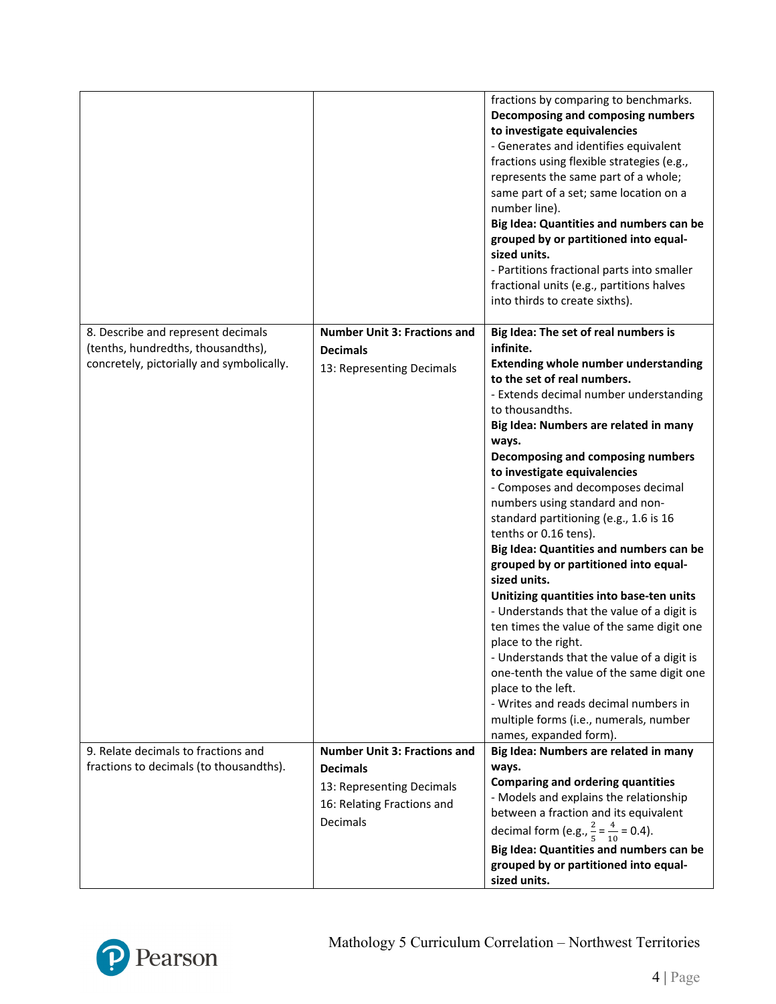|                                           |                                                                     | fractions by comparing to benchmarks.<br>Decomposing and composing numbers<br>to investigate equivalencies<br>- Generates and identifies equivalent<br>fractions using flexible strategies (e.g.,<br>represents the same part of a whole;<br>same part of a set; same location on a<br>number line).<br>Big Idea: Quantities and numbers can be<br>grouped by or partitioned into equal-<br>sized units.<br>- Partitions fractional parts into smaller<br>fractional units (e.g., partitions halves<br>into thirds to create sixths).                                                                                                                                                                                                                                                                                                                                           |
|-------------------------------------------|---------------------------------------------------------------------|---------------------------------------------------------------------------------------------------------------------------------------------------------------------------------------------------------------------------------------------------------------------------------------------------------------------------------------------------------------------------------------------------------------------------------------------------------------------------------------------------------------------------------------------------------------------------------------------------------------------------------------------------------------------------------------------------------------------------------------------------------------------------------------------------------------------------------------------------------------------------------|
| 8. Describe and represent decimals        | <b>Number Unit 3: Fractions and</b>                                 | Big Idea: The set of real numbers is                                                                                                                                                                                                                                                                                                                                                                                                                                                                                                                                                                                                                                                                                                                                                                                                                                            |
| (tenths, hundredths, thousandths),        | <b>Decimals</b>                                                     | infinite.                                                                                                                                                                                                                                                                                                                                                                                                                                                                                                                                                                                                                                                                                                                                                                                                                                                                       |
| concretely, pictorially and symbolically. | 13: Representing Decimals                                           | <b>Extending whole number understanding</b><br>to the set of real numbers.<br>- Extends decimal number understanding<br>to thousandths.<br>Big Idea: Numbers are related in many<br>ways.<br>Decomposing and composing numbers<br>to investigate equivalencies<br>- Composes and decomposes decimal<br>numbers using standard and non-<br>standard partitioning (e.g., 1.6 is 16<br>tenths or 0.16 tens).<br>Big Idea: Quantities and numbers can be<br>grouped by or partitioned into equal-<br>sized units.<br>Unitizing quantities into base-ten units<br>- Understands that the value of a digit is<br>ten times the value of the same digit one<br>place to the right.<br>- Understands that the value of a digit is<br>one-tenth the value of the same digit one<br>place to the left.<br>- Writes and reads decimal numbers in<br>multiple forms (i.e., numerals, number |
| 9. Relate decimals to fractions and       | <b>Number Unit 3: Fractions and</b>                                 | names, expanded form).<br>Big Idea: Numbers are related in many                                                                                                                                                                                                                                                                                                                                                                                                                                                                                                                                                                                                                                                                                                                                                                                                                 |
| fractions to decimals (to thousandths).   | <b>Decimals</b>                                                     | ways.                                                                                                                                                                                                                                                                                                                                                                                                                                                                                                                                                                                                                                                                                                                                                                                                                                                                           |
|                                           | 13: Representing Decimals<br>16: Relating Fractions and<br>Decimals | <b>Comparing and ordering quantities</b><br>- Models and explains the relationship<br>between a fraction and its equivalent<br>decimal form (e.g., $\frac{2}{5} = \frac{4}{10} = 0.4$ ).<br>Big Idea: Quantities and numbers can be                                                                                                                                                                                                                                                                                                                                                                                                                                                                                                                                                                                                                                             |
|                                           |                                                                     | grouped by or partitioned into equal-<br>sized units.                                                                                                                                                                                                                                                                                                                                                                                                                                                                                                                                                                                                                                                                                                                                                                                                                           |

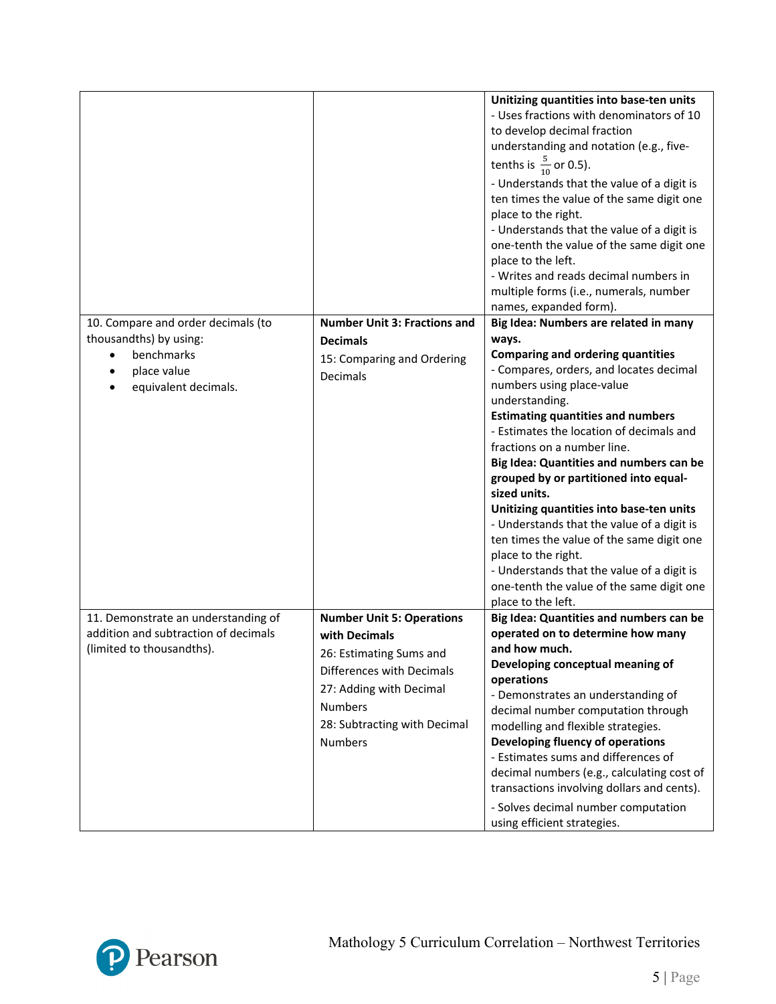|                                      |                                     | Unitizing quantities into base-ten units<br>- Uses fractions with denominators of 10<br>to develop decimal fraction<br>understanding and notation (e.g., five-<br>tenths is $\frac{5}{10}$ or 0.5).<br>- Understands that the value of a digit is<br>ten times the value of the same digit one<br>place to the right.<br>- Understands that the value of a digit is<br>one-tenth the value of the same digit one<br>place to the left.<br>- Writes and reads decimal numbers in<br>multiple forms (i.e., numerals, number<br>names, expanded form). |
|--------------------------------------|-------------------------------------|-----------------------------------------------------------------------------------------------------------------------------------------------------------------------------------------------------------------------------------------------------------------------------------------------------------------------------------------------------------------------------------------------------------------------------------------------------------------------------------------------------------------------------------------------------|
| 10. Compare and order decimals (to   | <b>Number Unit 3: Fractions and</b> | Big Idea: Numbers are related in many                                                                                                                                                                                                                                                                                                                                                                                                                                                                                                               |
| thousandths) by using:               | <b>Decimals</b>                     | ways.                                                                                                                                                                                                                                                                                                                                                                                                                                                                                                                                               |
| benchmarks                           | 15: Comparing and Ordering          | <b>Comparing and ordering quantities</b>                                                                                                                                                                                                                                                                                                                                                                                                                                                                                                            |
| place value                          | Decimals                            | - Compares, orders, and locates decimal                                                                                                                                                                                                                                                                                                                                                                                                                                                                                                             |
| equivalent decimals.                 |                                     | numbers using place-value<br>understanding.                                                                                                                                                                                                                                                                                                                                                                                                                                                                                                         |
|                                      |                                     | <b>Estimating quantities and numbers</b>                                                                                                                                                                                                                                                                                                                                                                                                                                                                                                            |
|                                      |                                     | - Estimates the location of decimals and                                                                                                                                                                                                                                                                                                                                                                                                                                                                                                            |
|                                      |                                     | fractions on a number line.                                                                                                                                                                                                                                                                                                                                                                                                                                                                                                                         |
|                                      |                                     | Big Idea: Quantities and numbers can be                                                                                                                                                                                                                                                                                                                                                                                                                                                                                                             |
|                                      |                                     | grouped by or partitioned into equal-                                                                                                                                                                                                                                                                                                                                                                                                                                                                                                               |
|                                      |                                     | sized units.                                                                                                                                                                                                                                                                                                                                                                                                                                                                                                                                        |
|                                      |                                     | Unitizing quantities into base-ten units                                                                                                                                                                                                                                                                                                                                                                                                                                                                                                            |
|                                      |                                     | - Understands that the value of a digit is                                                                                                                                                                                                                                                                                                                                                                                                                                                                                                          |
|                                      |                                     | ten times the value of the same digit one                                                                                                                                                                                                                                                                                                                                                                                                                                                                                                           |
|                                      |                                     | place to the right.                                                                                                                                                                                                                                                                                                                                                                                                                                                                                                                                 |
|                                      |                                     | - Understands that the value of a digit is<br>one-tenth the value of the same digit one                                                                                                                                                                                                                                                                                                                                                                                                                                                             |
|                                      |                                     | place to the left.                                                                                                                                                                                                                                                                                                                                                                                                                                                                                                                                  |
| 11. Demonstrate an understanding of  | <b>Number Unit 5: Operations</b>    | Big Idea: Quantities and numbers can be                                                                                                                                                                                                                                                                                                                                                                                                                                                                                                             |
| addition and subtraction of decimals | with Decimals                       | operated on to determine how many                                                                                                                                                                                                                                                                                                                                                                                                                                                                                                                   |
| (limited to thousandths).            | 26: Estimating Sums and             | and how much.                                                                                                                                                                                                                                                                                                                                                                                                                                                                                                                                       |
|                                      | Differences with Decimals           | Developing conceptual meaning of                                                                                                                                                                                                                                                                                                                                                                                                                                                                                                                    |
|                                      | 27: Adding with Decimal             | operations                                                                                                                                                                                                                                                                                                                                                                                                                                                                                                                                          |
|                                      |                                     | - Demonstrates an understanding of                                                                                                                                                                                                                                                                                                                                                                                                                                                                                                                  |
|                                      | <b>Numbers</b>                      | decimal number computation through                                                                                                                                                                                                                                                                                                                                                                                                                                                                                                                  |
|                                      | 28: Subtracting with Decimal        | modelling and flexible strategies.                                                                                                                                                                                                                                                                                                                                                                                                                                                                                                                  |
|                                      | <b>Numbers</b>                      | Developing fluency of operations<br>- Estimates sums and differences of                                                                                                                                                                                                                                                                                                                                                                                                                                                                             |
|                                      |                                     | decimal numbers (e.g., calculating cost of                                                                                                                                                                                                                                                                                                                                                                                                                                                                                                          |
|                                      |                                     | transactions involving dollars and cents).                                                                                                                                                                                                                                                                                                                                                                                                                                                                                                          |
|                                      |                                     | - Solves decimal number computation                                                                                                                                                                                                                                                                                                                                                                                                                                                                                                                 |
|                                      |                                     | using efficient strategies.                                                                                                                                                                                                                                                                                                                                                                                                                                                                                                                         |
|                                      |                                     |                                                                                                                                                                                                                                                                                                                                                                                                                                                                                                                                                     |

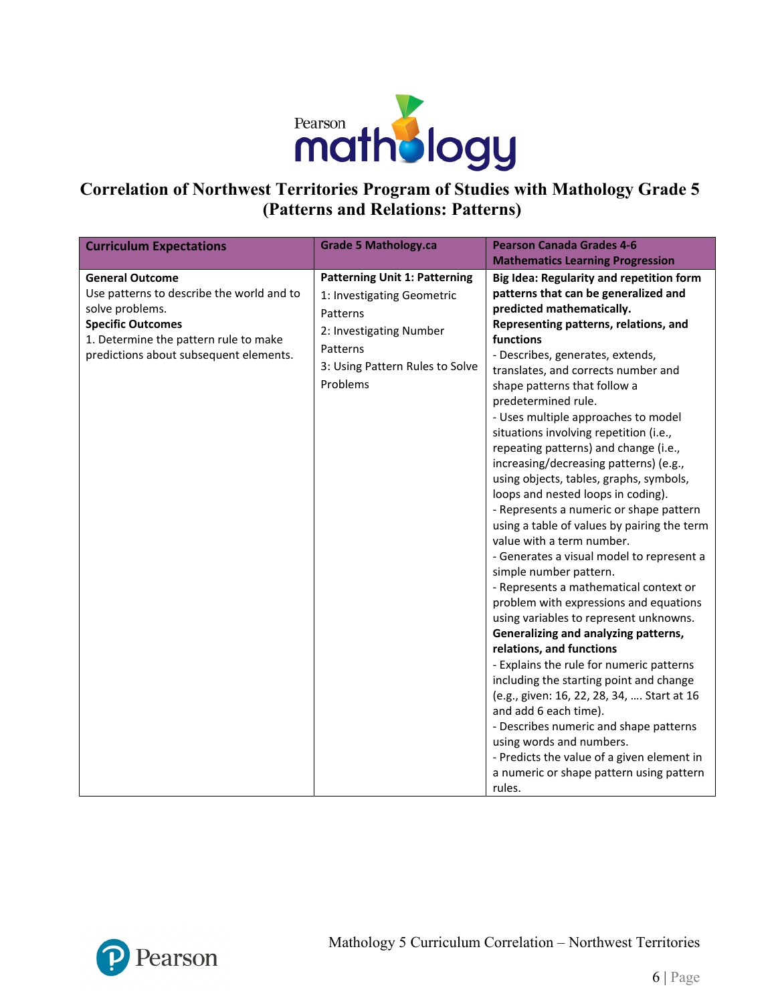

## **Correlation of Northwest Territories Program of Studies with Mathology Grade 5 (Patterns and Relations: Patterns)**

| <b>Curriculum Expectations</b>                                                                                                                                                                        | <b>Grade 5 Mathology.ca</b>                                                                                                                                          | <b>Pearson Canada Grades 4-6</b>                                                                                                                                                                                                                                                                                                                                                                                                                                                                                                                                                                                                                                                                                                                                                                                                                                                                                                                                                                                                                                                                                                                                                                                                                                                                   |
|-------------------------------------------------------------------------------------------------------------------------------------------------------------------------------------------------------|----------------------------------------------------------------------------------------------------------------------------------------------------------------------|----------------------------------------------------------------------------------------------------------------------------------------------------------------------------------------------------------------------------------------------------------------------------------------------------------------------------------------------------------------------------------------------------------------------------------------------------------------------------------------------------------------------------------------------------------------------------------------------------------------------------------------------------------------------------------------------------------------------------------------------------------------------------------------------------------------------------------------------------------------------------------------------------------------------------------------------------------------------------------------------------------------------------------------------------------------------------------------------------------------------------------------------------------------------------------------------------------------------------------------------------------------------------------------------------|
|                                                                                                                                                                                                       |                                                                                                                                                                      | <b>Mathematics Learning Progression</b>                                                                                                                                                                                                                                                                                                                                                                                                                                                                                                                                                                                                                                                                                                                                                                                                                                                                                                                                                                                                                                                                                                                                                                                                                                                            |
| <b>General Outcome</b><br>Use patterns to describe the world and to<br>solve problems.<br><b>Specific Outcomes</b><br>1. Determine the pattern rule to make<br>predictions about subsequent elements. | <b>Patterning Unit 1: Patterning</b><br>1: Investigating Geometric<br>Patterns<br>2: Investigating Number<br>Patterns<br>3: Using Pattern Rules to Solve<br>Problems | Big Idea: Regularity and repetition form<br>patterns that can be generalized and<br>predicted mathematically.<br>Representing patterns, relations, and<br>functions<br>- Describes, generates, extends,<br>translates, and corrects number and<br>shape patterns that follow a<br>predetermined rule.<br>- Uses multiple approaches to model<br>situations involving repetition (i.e.,<br>repeating patterns) and change (i.e.,<br>increasing/decreasing patterns) (e.g.,<br>using objects, tables, graphs, symbols,<br>loops and nested loops in coding).<br>- Represents a numeric or shape pattern<br>using a table of values by pairing the term<br>value with a term number.<br>- Generates a visual model to represent a<br>simple number pattern.<br>- Represents a mathematical context or<br>problem with expressions and equations<br>using variables to represent unknowns.<br>Generalizing and analyzing patterns,<br>relations, and functions<br>- Explains the rule for numeric patterns<br>including the starting point and change<br>(e.g., given: 16, 22, 28, 34,  Start at 16<br>and add 6 each time).<br>- Describes numeric and shape patterns<br>using words and numbers.<br>- Predicts the value of a given element in<br>a numeric or shape pattern using pattern<br>rules. |

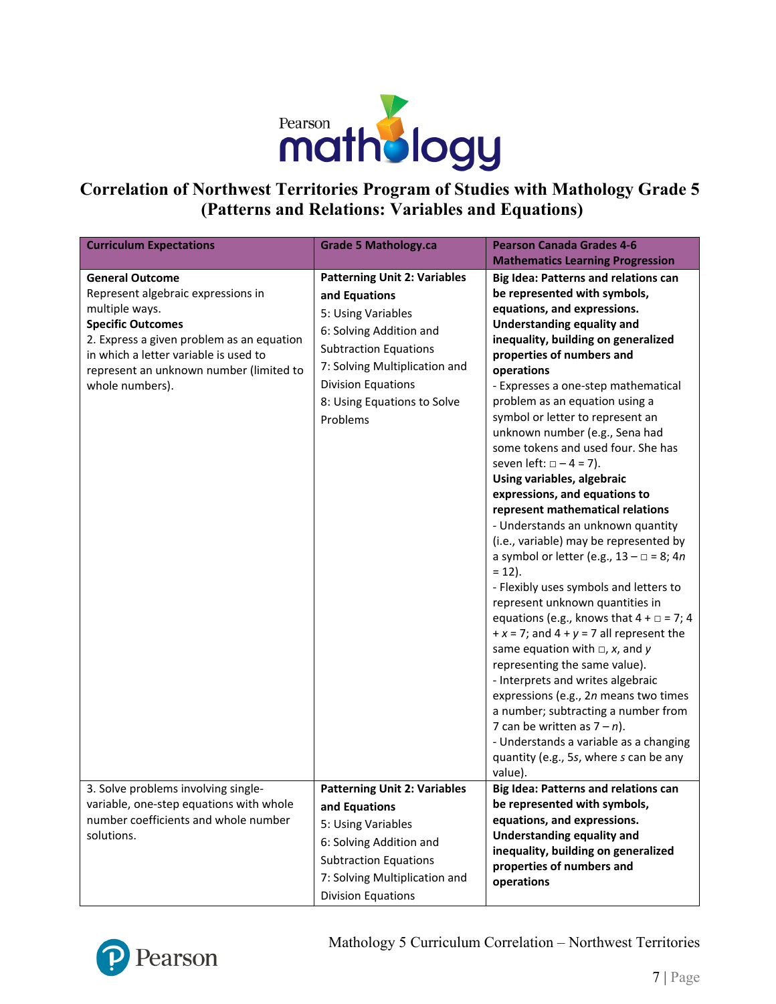

## **Correlation of Northwest Territories Program of Studies with Mathology Grade 5 (Patterns and Relations: Variables and Equations)**

| <b>Curriculum Expectations</b>                                                                                                                                                                                                                                 | <b>Grade 5 Mathology.ca</b>                                                                                                                                                                                                             | <b>Pearson Canada Grades 4-6</b>                                                                                                                                                                                                                                                                                                                                                                                                                                                                                                                                                                                                                                                                                                                                                                                                                                                                                                                                                                                                                                                                                                                                                                                      |
|----------------------------------------------------------------------------------------------------------------------------------------------------------------------------------------------------------------------------------------------------------------|-----------------------------------------------------------------------------------------------------------------------------------------------------------------------------------------------------------------------------------------|-----------------------------------------------------------------------------------------------------------------------------------------------------------------------------------------------------------------------------------------------------------------------------------------------------------------------------------------------------------------------------------------------------------------------------------------------------------------------------------------------------------------------------------------------------------------------------------------------------------------------------------------------------------------------------------------------------------------------------------------------------------------------------------------------------------------------------------------------------------------------------------------------------------------------------------------------------------------------------------------------------------------------------------------------------------------------------------------------------------------------------------------------------------------------------------------------------------------------|
|                                                                                                                                                                                                                                                                |                                                                                                                                                                                                                                         | <b>Mathematics Learning Progression</b>                                                                                                                                                                                                                                                                                                                                                                                                                                                                                                                                                                                                                                                                                                                                                                                                                                                                                                                                                                                                                                                                                                                                                                               |
| <b>General Outcome</b><br>Represent algebraic expressions in<br>multiple ways.<br><b>Specific Outcomes</b><br>2. Express a given problem as an equation<br>in which a letter variable is used to<br>represent an unknown number (limited to<br>whole numbers). | <b>Patterning Unit 2: Variables</b><br>and Equations<br>5: Using Variables<br>6: Solving Addition and<br><b>Subtraction Equations</b><br>7: Solving Multiplication and<br>Division Equations<br>8: Using Equations to Solve<br>Problems | <b>Big Idea: Patterns and relations can</b><br>be represented with symbols,<br>equations, and expressions.<br>Understanding equality and<br>inequality, building on generalized<br>properties of numbers and<br>operations<br>- Expresses a one-step mathematical<br>problem as an equation using a<br>symbol or letter to represent an<br>unknown number (e.g., Sena had<br>some tokens and used four. She has<br>seven left: $\Box - 4 = 7$ ).<br>Using variables, algebraic<br>expressions, and equations to<br>represent mathematical relations<br>- Understands an unknown quantity<br>(i.e., variable) may be represented by<br>a symbol or letter (e.g., $13 - \square = 8$ ; 4n<br>$= 12$ ).<br>- Flexibly uses symbols and letters to<br>represent unknown quantities in<br>equations (e.g., knows that $4 + \square = 7$ ; 4<br>$+x = 7$ ; and $4 + y = 7$ all represent the<br>same equation with $\Box$ , x, and y<br>representing the same value).<br>- Interprets and writes algebraic<br>expressions (e.g., 2n means two times<br>a number; subtracting a number from<br>7 can be written as $7 - n$ ).<br>- Understands a variable as a changing<br>quantity (e.g., 5s, where s can be any<br>value). |
| 3. Solve problems involving single-<br>variable, one-step equations with whole<br>number coefficients and whole number<br>solutions.                                                                                                                           | <b>Patterning Unit 2: Variables</b><br>and Equations<br>5: Using Variables<br>6: Solving Addition and                                                                                                                                   | <b>Big Idea: Patterns and relations can</b><br>be represented with symbols,<br>equations, and expressions.<br><b>Understanding equality and</b>                                                                                                                                                                                                                                                                                                                                                                                                                                                                                                                                                                                                                                                                                                                                                                                                                                                                                                                                                                                                                                                                       |
|                                                                                                                                                                                                                                                                | <b>Subtraction Equations</b><br>7: Solving Multiplication and<br><b>Division Equations</b>                                                                                                                                              | inequality, building on generalized<br>properties of numbers and<br>operations                                                                                                                                                                                                                                                                                                                                                                                                                                                                                                                                                                                                                                                                                                                                                                                                                                                                                                                                                                                                                                                                                                                                        |

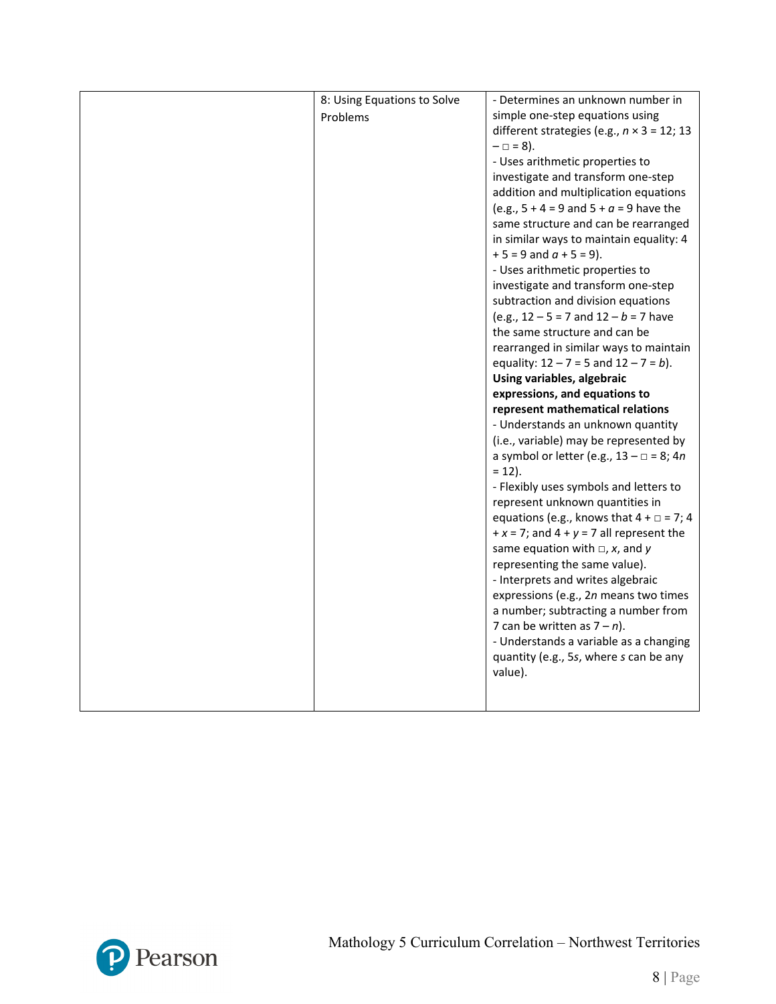| 8: Using Equations to Solve | - Determines an unknown number in                  |
|-----------------------------|----------------------------------------------------|
| Problems                    | simple one-step equations using                    |
|                             | different strategies (e.g., $n \times 3 = 12$ ; 13 |
|                             | $- \Box = 8$ ).                                    |
|                             | - Uses arithmetic properties to                    |
|                             | investigate and transform one-step                 |
|                             | addition and multiplication equations              |
|                             | (e.g., $5 + 4 = 9$ and $5 + a = 9$ have the        |
|                             | same structure and can be rearranged               |
|                             | in similar ways to maintain equality: 4            |
|                             | $+5 = 9$ and $a + 5 = 9$ ).                        |
|                             | - Uses arithmetic properties to                    |
|                             | investigate and transform one-step                 |
|                             | subtraction and division equations                 |
|                             | (e.g., $12 - 5 = 7$ and $12 - b = 7$ have          |
|                             | the same structure and can be                      |
|                             | rearranged in similar ways to maintain             |
|                             | equality: $12 - 7 = 5$ and $12 - 7 = b$ ).         |
|                             | Using variables, algebraic                         |
|                             | expressions, and equations to                      |
|                             | represent mathematical relations                   |
|                             | - Understands an unknown quantity                  |
|                             | (i.e., variable) may be represented by             |
|                             | a symbol or letter (e.g., $13 - \square = 8$ ; 4n  |
|                             | $= 12$ ).                                          |
|                             | - Flexibly uses symbols and letters to             |
|                             | represent unknown quantities in                    |
|                             | equations (e.g., knows that $4 + \square = 7$ ; 4  |
|                             | + $x = 7$ ; and $4 + y = 7$ all represent the      |
|                             | same equation with $\Box$ , x, and y               |
|                             | representing the same value).                      |
|                             | - Interprets and writes algebraic                  |
|                             | expressions (e.g., 2n means two times              |
|                             | a number; subtracting a number from                |
|                             | 7 can be written as $7 - n$ ).                     |
|                             | - Understands a variable as a changing             |
|                             | quantity (e.g., 5s, where s can be any             |
|                             | value).                                            |
|                             |                                                    |
|                             |                                                    |

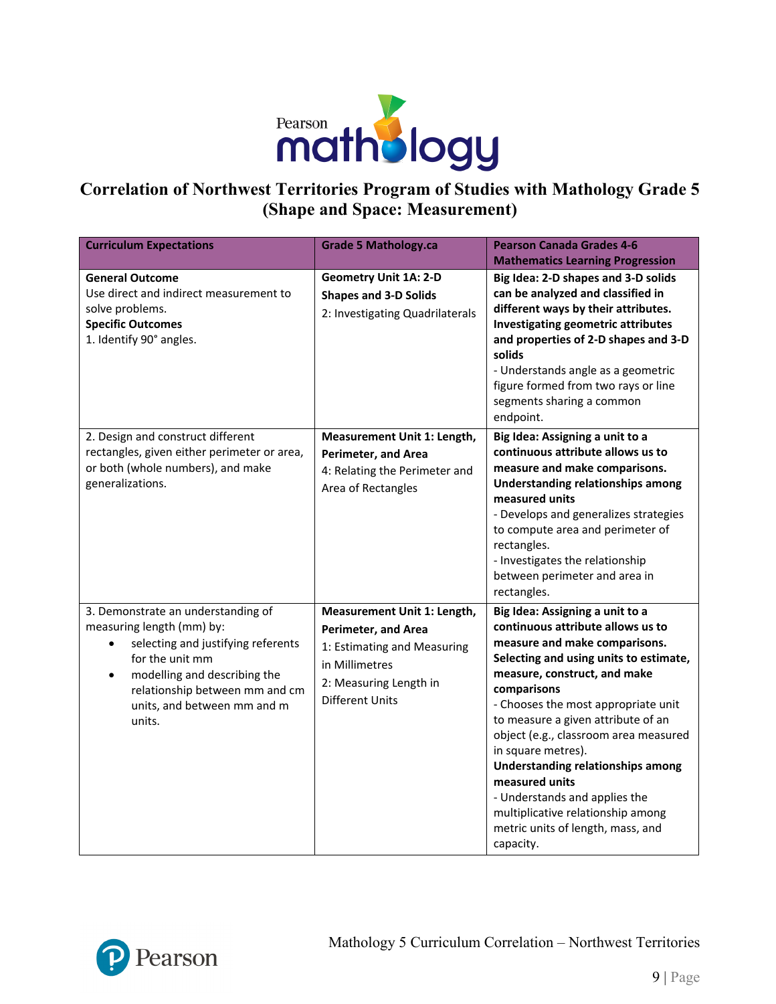

## **Correlation of Northwest Territories Program of Studies with Mathology Grade 5 (Shape and Space: Measurement)**

| <b>Curriculum Expectations</b>                                                                                                                                                                                                                   | <b>Grade 5 Mathology.ca</b>                                                                                                                                    | <b>Pearson Canada Grades 4-6</b><br><b>Mathematics Learning Progression</b>                                                                                                                                                                                                                                                                                                                                                                                                                                                      |
|--------------------------------------------------------------------------------------------------------------------------------------------------------------------------------------------------------------------------------------------------|----------------------------------------------------------------------------------------------------------------------------------------------------------------|----------------------------------------------------------------------------------------------------------------------------------------------------------------------------------------------------------------------------------------------------------------------------------------------------------------------------------------------------------------------------------------------------------------------------------------------------------------------------------------------------------------------------------|
| <b>General Outcome</b><br>Use direct and indirect measurement to<br>solve problems.<br><b>Specific Outcomes</b><br>1. Identify 90° angles.                                                                                                       | <b>Geometry Unit 1A: 2-D</b><br><b>Shapes and 3-D Solids</b><br>2: Investigating Quadrilaterals                                                                | Big Idea: 2-D shapes and 3-D solids<br>can be analyzed and classified in<br>different ways by their attributes.<br>Investigating geometric attributes<br>and properties of 2-D shapes and 3-D<br>solids<br>- Understands angle as a geometric<br>figure formed from two rays or line<br>segments sharing a common<br>endpoint.                                                                                                                                                                                                   |
| 2. Design and construct different<br>rectangles, given either perimeter or area,<br>or both (whole numbers), and make<br>generalizations.                                                                                                        | Measurement Unit 1: Length,<br><b>Perimeter, and Area</b><br>4: Relating the Perimeter and<br>Area of Rectangles                                               | Big Idea: Assigning a unit to a<br>continuous attribute allows us to<br>measure and make comparisons.<br><b>Understanding relationships among</b><br>measured units<br>- Develops and generalizes strategies<br>to compute area and perimeter of<br>rectangles.<br>- Investigates the relationship<br>between perimeter and area in<br>rectangles.                                                                                                                                                                               |
| 3. Demonstrate an understanding of<br>measuring length (mm) by:<br>selecting and justifying referents<br>for the unit mm<br>modelling and describing the<br>$\bullet$<br>relationship between mm and cm<br>units, and between mm and m<br>units. | Measurement Unit 1: Length,<br><b>Perimeter, and Area</b><br>1: Estimating and Measuring<br>in Millimetres<br>2: Measuring Length in<br><b>Different Units</b> | Big Idea: Assigning a unit to a<br>continuous attribute allows us to<br>measure and make comparisons.<br>Selecting and using units to estimate,<br>measure, construct, and make<br>comparisons<br>- Chooses the most appropriate unit<br>to measure a given attribute of an<br>object (e.g., classroom area measured<br>in square metres).<br><b>Understanding relationships among</b><br>measured units<br>- Understands and applies the<br>multiplicative relationship among<br>metric units of length, mass, and<br>capacity. |

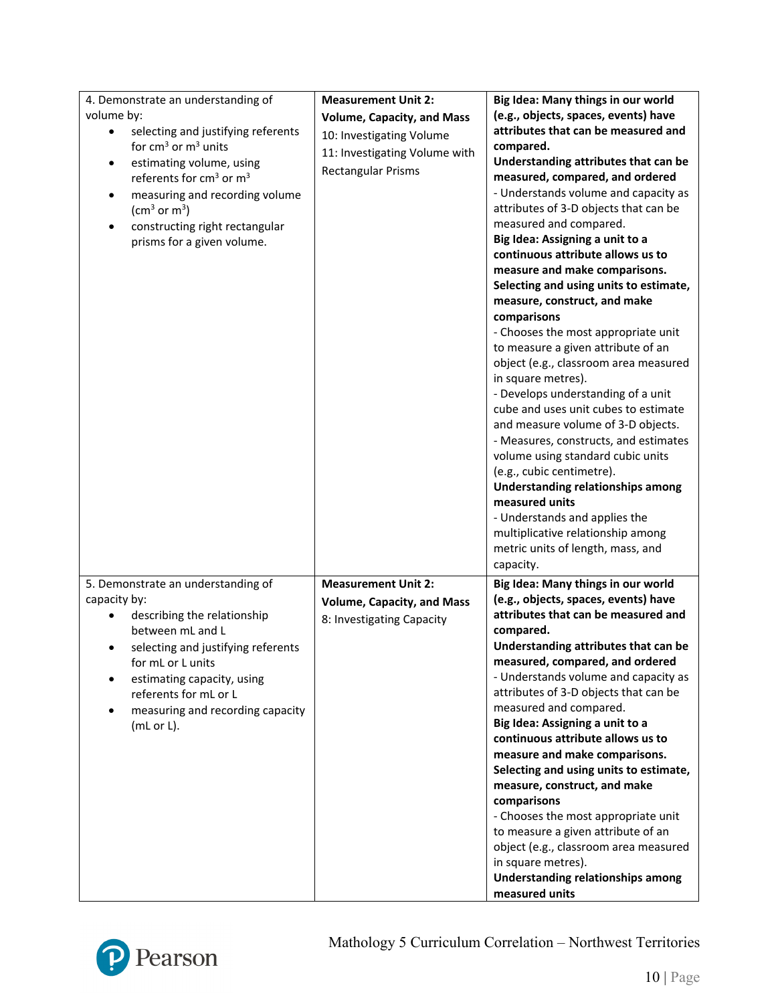| 4. Demonstrate an understanding of<br>volume by:<br>selecting and justifying referents<br>٠<br>for $cm3$ or $m3$ units<br>estimating volume, using<br>$\bullet$<br>referents for cm <sup>3</sup> or m <sup>3</sup><br>measuring and recording volume<br>$\bullet$<br>$\rm (cm^3~or~m^3)$<br>constructing right rectangular<br>$\bullet$<br>prisms for a given volume. | <b>Measurement Unit 2:</b><br><b>Volume, Capacity, and Mass</b><br>10: Investigating Volume<br>11: Investigating Volume with<br><b>Rectangular Prisms</b> | Big Idea: Many things in our world<br>(e.g., objects, spaces, events) have<br>attributes that can be measured and<br>compared.<br>Understanding attributes that can be<br>measured, compared, and ordered<br>- Understands volume and capacity as<br>attributes of 3-D objects that can be<br>measured and compared.<br>Big Idea: Assigning a unit to a<br>continuous attribute allows us to<br>measure and make comparisons.<br>Selecting and using units to estimate,<br>measure, construct, and make<br>comparisons<br>- Chooses the most appropriate unit<br>to measure a given attribute of an<br>object (e.g., classroom area measured<br>in square metres).<br>- Develops understanding of a unit<br>cube and uses unit cubes to estimate<br>and measure volume of 3-D objects.<br>- Measures, constructs, and estimates<br>volume using standard cubic units<br>(e.g., cubic centimetre).<br><b>Understanding relationships among</b><br>measured units<br>- Understands and applies the<br>multiplicative relationship among<br>metric units of length, mass, and |
|-----------------------------------------------------------------------------------------------------------------------------------------------------------------------------------------------------------------------------------------------------------------------------------------------------------------------------------------------------------------------|-----------------------------------------------------------------------------------------------------------------------------------------------------------|----------------------------------------------------------------------------------------------------------------------------------------------------------------------------------------------------------------------------------------------------------------------------------------------------------------------------------------------------------------------------------------------------------------------------------------------------------------------------------------------------------------------------------------------------------------------------------------------------------------------------------------------------------------------------------------------------------------------------------------------------------------------------------------------------------------------------------------------------------------------------------------------------------------------------------------------------------------------------------------------------------------------------------------------------------------------------|
| 5. Demonstrate an understanding of<br>capacity by:<br>describing the relationship<br>between mL and L<br>selecting and justifying referents<br>$\bullet$<br>for mL or L units<br>estimating capacity, using<br>referents for mL or L<br>measuring and recording capacity<br>$\bullet$<br>$(mL or L)$ .                                                                | <b>Measurement Unit 2:</b><br><b>Volume, Capacity, and Mass</b><br>8: Investigating Capacity                                                              | capacity.<br>Big Idea: Many things in our world<br>(e.g., objects, spaces, events) have<br>attributes that can be measured and<br>compared.<br>Understanding attributes that can be<br>measured, compared, and ordered<br>- Understands volume and capacity as<br>attributes of 3-D objects that can be<br>measured and compared.<br>Big Idea: Assigning a unit to a<br>continuous attribute allows us to<br>measure and make comparisons.<br>Selecting and using units to estimate,<br>measure, construct, and make<br>comparisons<br>- Chooses the most appropriate unit<br>to measure a given attribute of an<br>object (e.g., classroom area measured<br>in square metres).<br>Understanding relationships among<br>measured units                                                                                                                                                                                                                                                                                                                                     |

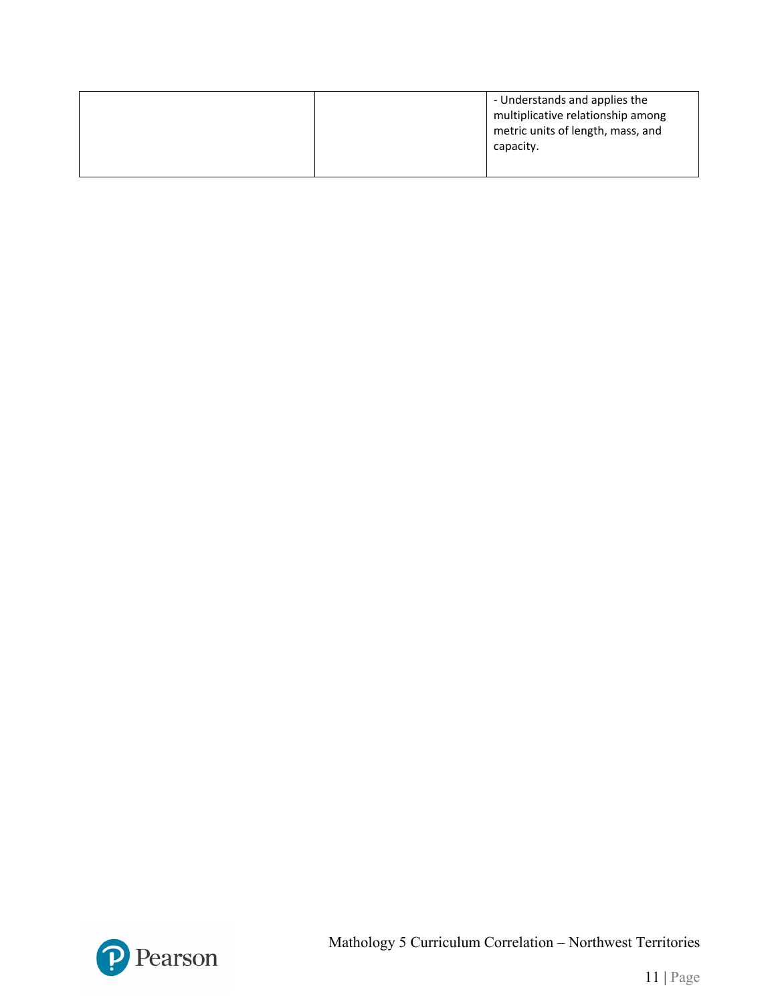|  | - Understands and applies the<br>multiplicative relationship among<br>metric units of length, mass, and<br>capacity. |
|--|----------------------------------------------------------------------------------------------------------------------|
|  |                                                                                                                      |

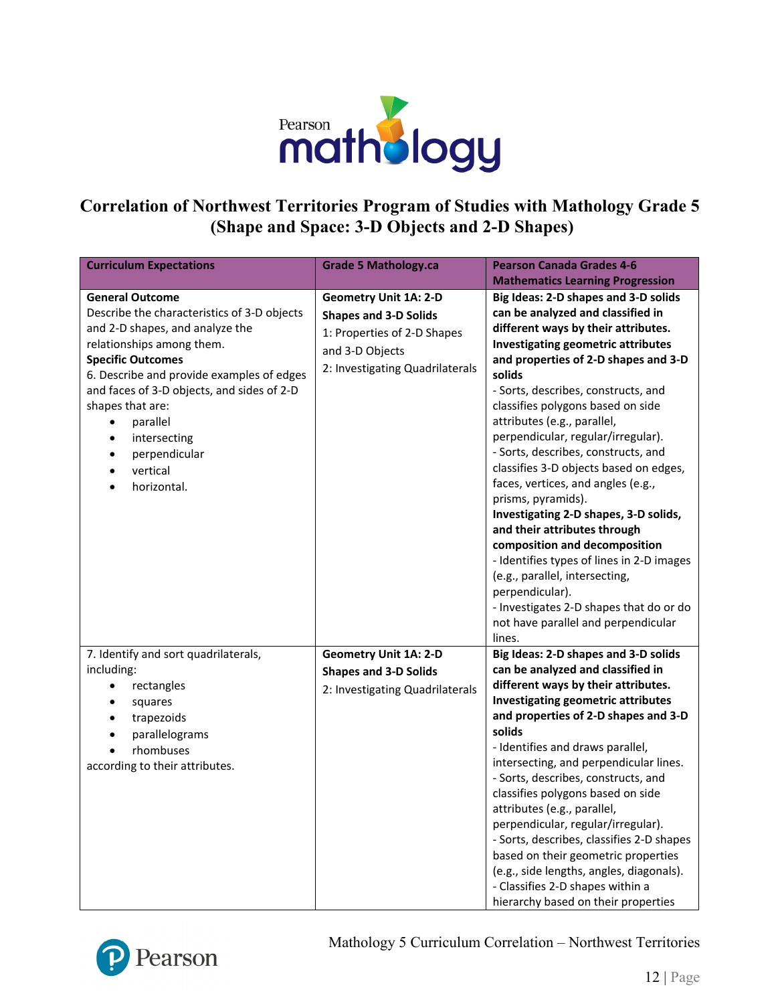

# **Correlation of Northwest Territories Program of Studies with Mathology Grade 5 (Shape and Space: 3-D Objects and 2-D Shapes)**

| <b>Curriculum Expectations</b>                                                                                                                                                                                                                                                                                                                                                                  | <b>Grade 5 Mathology.ca</b>                                                                                                                       | <b>Pearson Canada Grades 4-6</b><br><b>Mathematics Learning Progression</b>                                                                                                                                                                                                                                                                                                                                                                                                                                                                                                                                                                                                                                                                                                                                           |
|-------------------------------------------------------------------------------------------------------------------------------------------------------------------------------------------------------------------------------------------------------------------------------------------------------------------------------------------------------------------------------------------------|---------------------------------------------------------------------------------------------------------------------------------------------------|-----------------------------------------------------------------------------------------------------------------------------------------------------------------------------------------------------------------------------------------------------------------------------------------------------------------------------------------------------------------------------------------------------------------------------------------------------------------------------------------------------------------------------------------------------------------------------------------------------------------------------------------------------------------------------------------------------------------------------------------------------------------------------------------------------------------------|
| <b>General Outcome</b><br>Describe the characteristics of 3-D objects<br>and 2-D shapes, and analyze the<br>relationships among them.<br><b>Specific Outcomes</b><br>6. Describe and provide examples of edges<br>and faces of 3-D objects, and sides of 2-D<br>shapes that are:<br>parallel<br>$\bullet$<br>intersecting<br>$\bullet$<br>perpendicular<br>$\bullet$<br>vertical<br>horizontal. | <b>Geometry Unit 1A: 2-D</b><br><b>Shapes and 3-D Solids</b><br>1: Properties of 2-D Shapes<br>and 3-D Objects<br>2: Investigating Quadrilaterals | Big Ideas: 2-D shapes and 3-D solids<br>can be analyzed and classified in<br>different ways by their attributes.<br><b>Investigating geometric attributes</b><br>and properties of 2-D shapes and 3-D<br>solids<br>- Sorts, describes, constructs, and<br>classifies polygons based on side<br>attributes (e.g., parallel,<br>perpendicular, regular/irregular).<br>- Sorts, describes, constructs, and<br>classifies 3-D objects based on edges,<br>faces, vertices, and angles (e.g.,<br>prisms, pyramids).<br>Investigating 2-D shapes, 3-D solids,<br>and their attributes through<br>composition and decomposition<br>- Identifies types of lines in 2-D images<br>(e.g., parallel, intersecting,<br>perpendicular).<br>- Investigates 2-D shapes that do or do<br>not have parallel and perpendicular<br>lines. |
| 7. Identify and sort quadrilaterals,<br>including:<br>rectangles<br>$\bullet$<br>squares<br>$\bullet$<br>trapezoids<br>$\bullet$<br>parallelograms<br>$\bullet$<br>rhombuses<br>according to their attributes.                                                                                                                                                                                  | <b>Geometry Unit 1A: 2-D</b><br><b>Shapes and 3-D Solids</b><br>2: Investigating Quadrilaterals                                                   | Big Ideas: 2-D shapes and 3-D solids<br>can be analyzed and classified in<br>different ways by their attributes.<br>Investigating geometric attributes<br>and properties of 2-D shapes and 3-D<br>solids<br>- Identifies and draws parallel,<br>intersecting, and perpendicular lines.<br>- Sorts, describes, constructs, and<br>classifies polygons based on side<br>attributes (e.g., parallel,<br>perpendicular, regular/irregular).<br>- Sorts, describes, classifies 2-D shapes<br>based on their geometric properties<br>(e.g., side lengths, angles, diagonals).<br>- Classifies 2-D shapes within a<br>hierarchy based on their properties                                                                                                                                                                    |

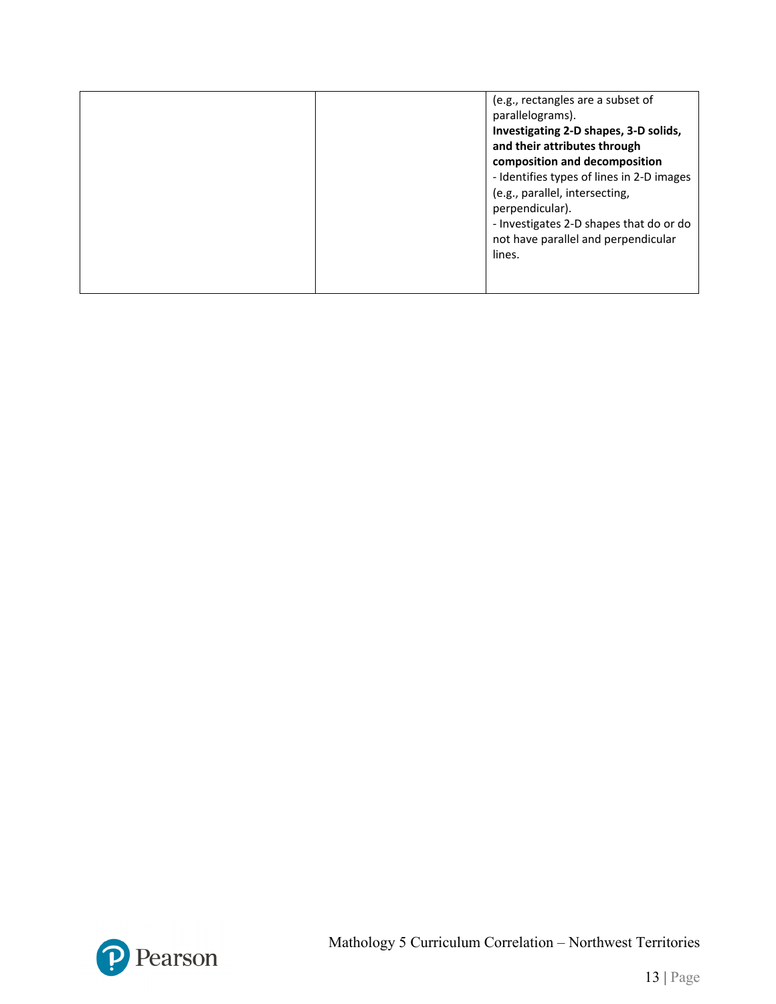| (e.g., rectangles are a subset of<br>parallelograms).<br>Investigating 2-D shapes, 3-D solids,<br>and their attributes through<br>composition and decomposition<br>- Identifies types of lines in 2-D images<br>(e.g., parallel, intersecting,<br>perpendicular).<br>- Investigates 2-D shapes that do or do<br>not have parallel and perpendicular<br>lines. |
|---------------------------------------------------------------------------------------------------------------------------------------------------------------------------------------------------------------------------------------------------------------------------------------------------------------------------------------------------------------|
|                                                                                                                                                                                                                                                                                                                                                               |

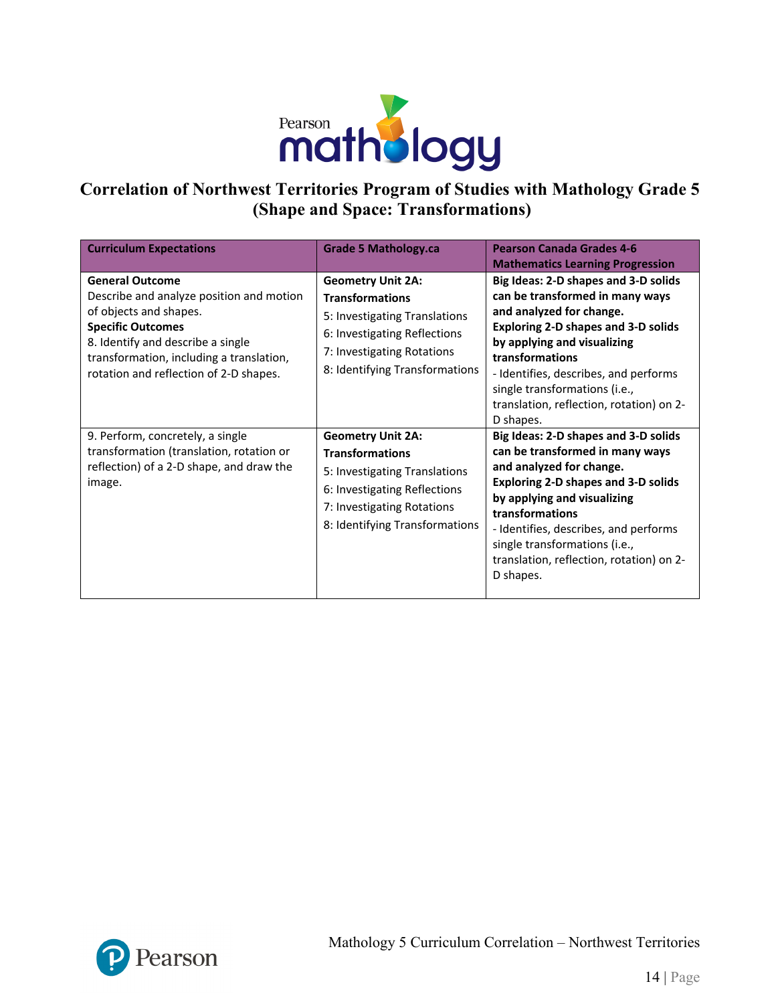

## **Correlation of Northwest Territories Program of Studies with Mathology Grade 5 (Shape and Space: Transformations)**

| <b>Curriculum Expectations</b>                                                                                                                                                                                                                      | <b>Grade 5 Mathology.ca</b>                                                                                                                                                         | <b>Pearson Canada Grades 4-6</b><br><b>Mathematics Learning Progression</b>                                                                                                                                                                                                                                                            |
|-----------------------------------------------------------------------------------------------------------------------------------------------------------------------------------------------------------------------------------------------------|-------------------------------------------------------------------------------------------------------------------------------------------------------------------------------------|----------------------------------------------------------------------------------------------------------------------------------------------------------------------------------------------------------------------------------------------------------------------------------------------------------------------------------------|
| <b>General Outcome</b><br>Describe and analyze position and motion<br>of objects and shapes.<br><b>Specific Outcomes</b><br>8. Identify and describe a single<br>transformation, including a translation,<br>rotation and reflection of 2-D shapes. | <b>Geometry Unit 2A:</b><br><b>Transformations</b><br>5: Investigating Translations<br>6: Investigating Reflections<br>7: Investigating Rotations<br>8: Identifying Transformations | Big Ideas: 2-D shapes and 3-D solids<br>can be transformed in many ways<br>and analyzed for change.<br><b>Exploring 2-D shapes and 3-D solids</b><br>by applying and visualizing<br>transformations<br>- Identifies, describes, and performs<br>single transformations (i.e.,<br>translation, reflection, rotation) on 2-<br>D shapes. |
| 9. Perform, concretely, a single<br>transformation (translation, rotation or<br>reflection) of a 2-D shape, and draw the<br>image.                                                                                                                  | <b>Geometry Unit 2A:</b><br><b>Transformations</b><br>5: Investigating Translations<br>6: Investigating Reflections<br>7: Investigating Rotations<br>8: Identifying Transformations | Big Ideas: 2-D shapes and 3-D solids<br>can be transformed in many ways<br>and analyzed for change.<br><b>Exploring 2-D shapes and 3-D solids</b><br>by applying and visualizing<br>transformations<br>- Identifies, describes, and performs<br>single transformations (i.e.,<br>translation, reflection, rotation) on 2-<br>D shapes. |

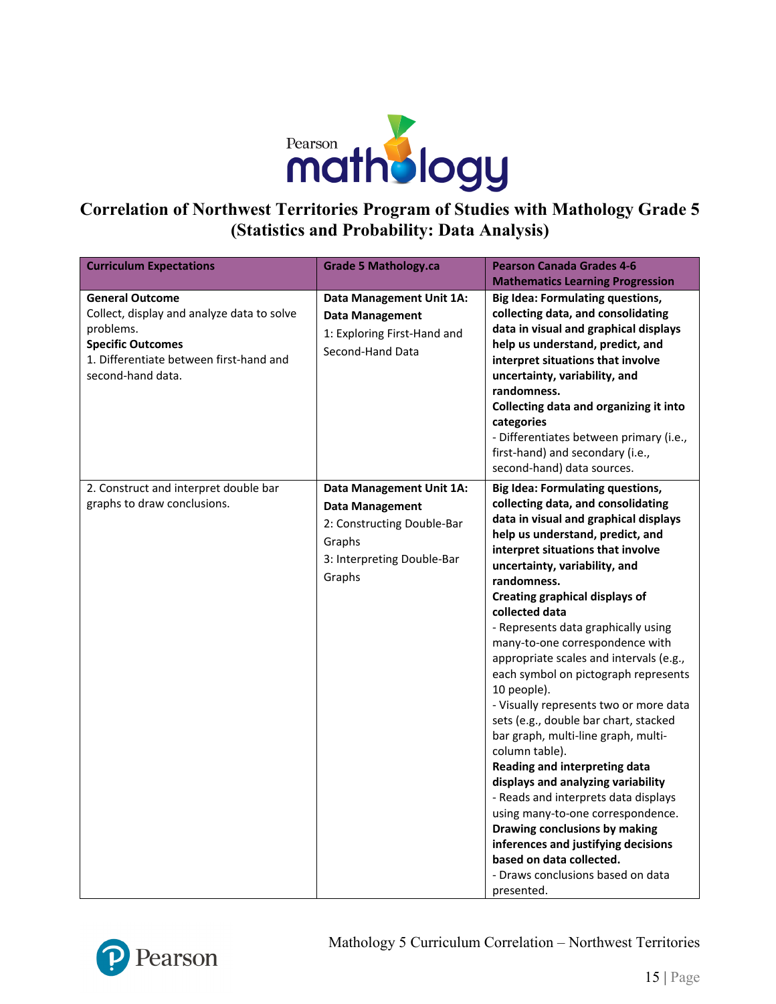

### **Correlation of Northwest Territories Program of Studies with Mathology Grade 5 (Statistics and Probability: Data Analysis)**

| <b>Curriculum Expectations</b>                                                                                                                                                | <b>Grade 5 Mathology.ca</b>                                                                                                        | <b>Pearson Canada Grades 4-6</b>                                                                                                                                                                                                                                                                                                                                                                                                                                                                                                                                                                                                                                                                                                                                                                                                                                                                                                              |
|-------------------------------------------------------------------------------------------------------------------------------------------------------------------------------|------------------------------------------------------------------------------------------------------------------------------------|-----------------------------------------------------------------------------------------------------------------------------------------------------------------------------------------------------------------------------------------------------------------------------------------------------------------------------------------------------------------------------------------------------------------------------------------------------------------------------------------------------------------------------------------------------------------------------------------------------------------------------------------------------------------------------------------------------------------------------------------------------------------------------------------------------------------------------------------------------------------------------------------------------------------------------------------------|
|                                                                                                                                                                               |                                                                                                                                    | <b>Mathematics Learning Progression</b>                                                                                                                                                                                                                                                                                                                                                                                                                                                                                                                                                                                                                                                                                                                                                                                                                                                                                                       |
| <b>General Outcome</b><br>Collect, display and analyze data to solve<br>problems.<br><b>Specific Outcomes</b><br>1. Differentiate between first-hand and<br>second-hand data. | Data Management Unit 1A:<br><b>Data Management</b><br>1: Exploring First-Hand and<br>Second-Hand Data                              | <b>Big Idea: Formulating questions,</b><br>collecting data, and consolidating<br>data in visual and graphical displays<br>help us understand, predict, and<br>interpret situations that involve<br>uncertainty, variability, and<br>randomness.<br>Collecting data and organizing it into<br>categories<br>- Differentiates between primary (i.e.,<br>first-hand) and secondary (i.e.,<br>second-hand) data sources.                                                                                                                                                                                                                                                                                                                                                                                                                                                                                                                          |
| 2. Construct and interpret double bar<br>graphs to draw conclusions.                                                                                                          | Data Management Unit 1A:<br><b>Data Management</b><br>2: Constructing Double-Bar<br>Graphs<br>3: Interpreting Double-Bar<br>Graphs | <b>Big Idea: Formulating questions,</b><br>collecting data, and consolidating<br>data in visual and graphical displays<br>help us understand, predict, and<br>interpret situations that involve<br>uncertainty, variability, and<br>randomness.<br><b>Creating graphical displays of</b><br>collected data<br>- Represents data graphically using<br>many-to-one correspondence with<br>appropriate scales and intervals (e.g.,<br>each symbol on pictograph represents<br>10 people).<br>- Visually represents two or more data<br>sets (e.g., double bar chart, stacked<br>bar graph, multi-line graph, multi-<br>column table).<br>Reading and interpreting data<br>displays and analyzing variability<br>- Reads and interprets data displays<br>using many-to-one correspondence.<br>Drawing conclusions by making<br>inferences and justifying decisions<br>based on data collected.<br>- Draws conclusions based on data<br>presented. |

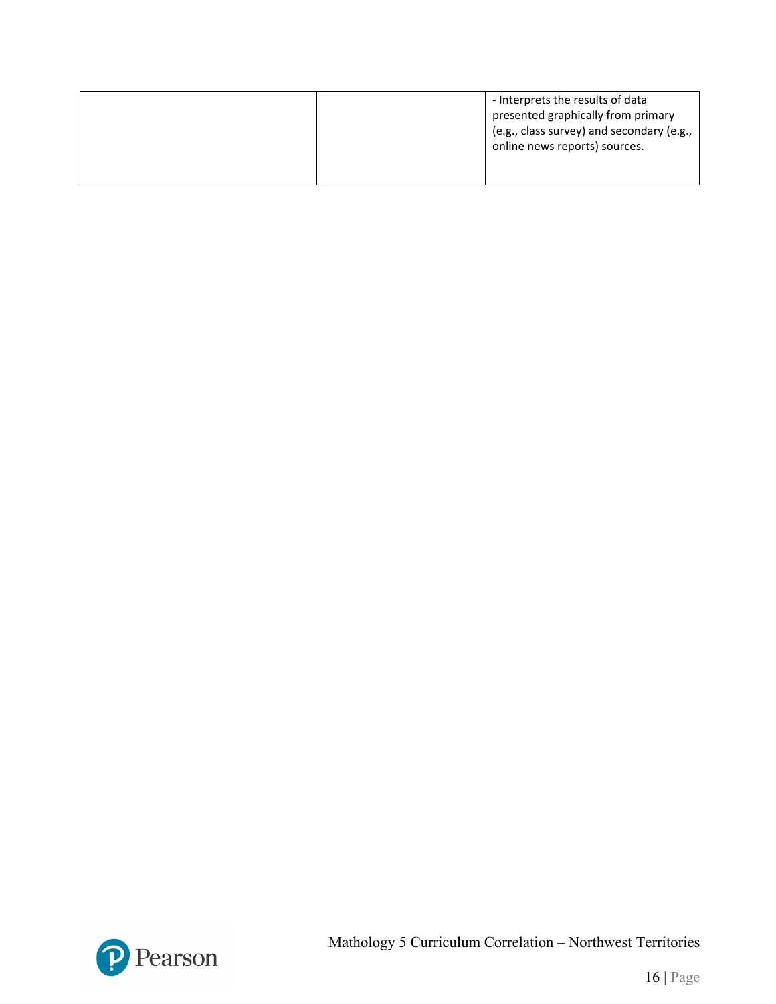| - Interprets the results of data<br>presented graphically from primary<br>(e.g., class survey) and secondary (e.g.,<br>online news reports) sources. |
|------------------------------------------------------------------------------------------------------------------------------------------------------|
|                                                                                                                                                      |